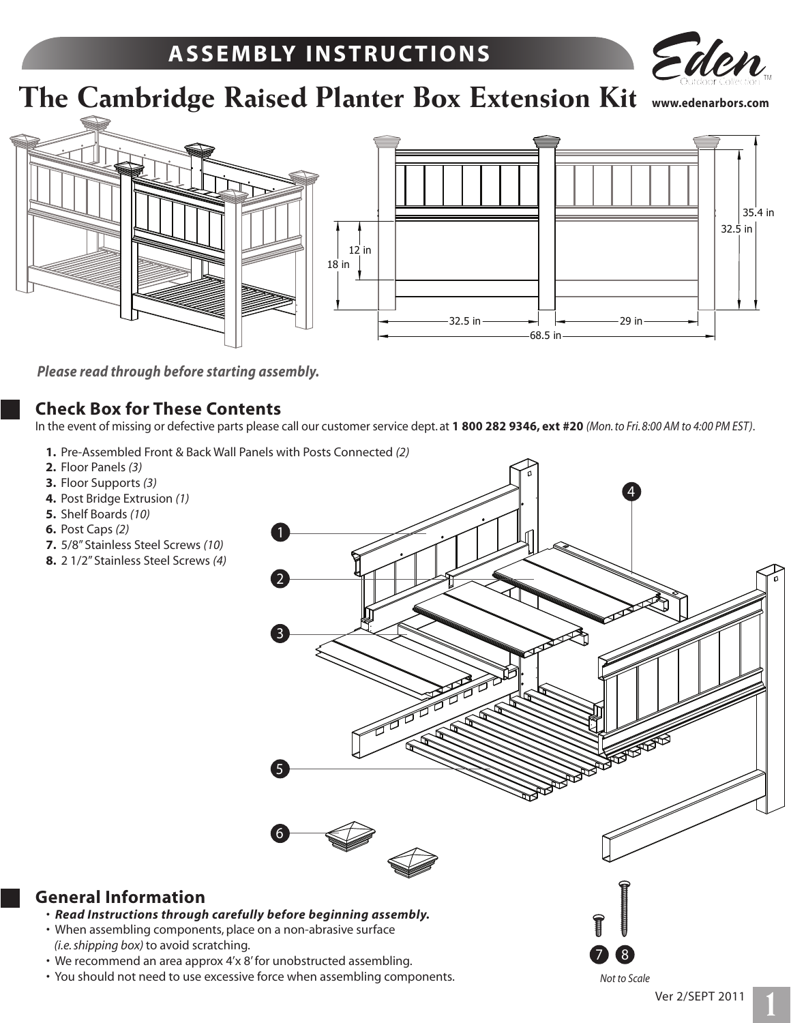## **A S S E M B LY I N S T R U C T I O N S**



# **The Cambridge Raised Planter Box Extension Kit www.edenarbors.com**



*Please read through before starting assembly.*

#### **Check Box for These Contents**

In the event of missing or defective parts please call our customer service dept. at **1 800 282 9346, ext #20** *(Mon. to Fri. 8:00 AM to 4:00 PM EST)*.

- **1.** Pre-Assembled Front & Back Wall Panels with Posts Connected *(2)*
- **2.** Floor Panels *(3)*
- **3.** Floor Supports *(3)*
- **4.** Post Bridge Extrusion *(1)*
- **5.** Shelf Boards *(10)*
- **6.** Post Caps *(2)*
- **7.** 5/8" Stainless Steel Screws *(10)*
- **8.** 2 1/2" Stainless Steel Screws *(4)*

**General Information**



• You should not need to use excessive force when assembling components.

*Not to Scale*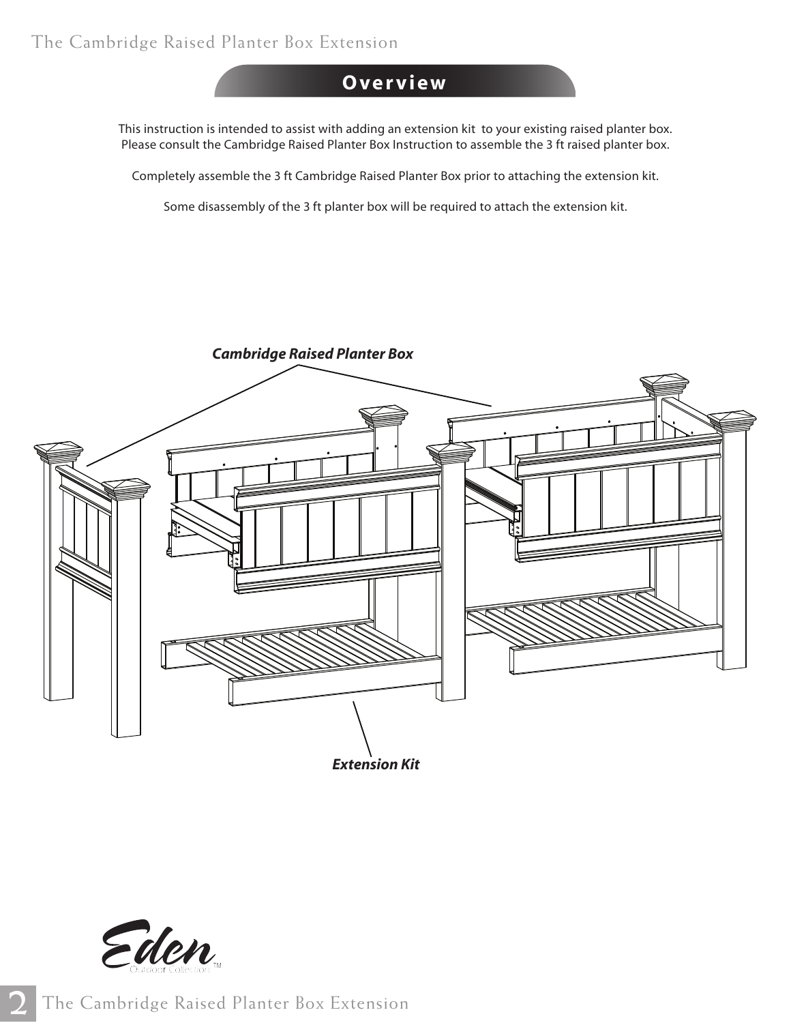### **O ve r v i e w**

This instruction is intended to assist with adding an extension kit to your existing raised planter box. Please consult the Cambridge Raised Planter Box Instruction to assemble the 3 ft raised planter box.

Completely assemble the 3 ft Cambridge Raised Planter Box prior to attaching the extension kit.

Some disassembly of the 3 ft planter box will be required to attach the extension kit.



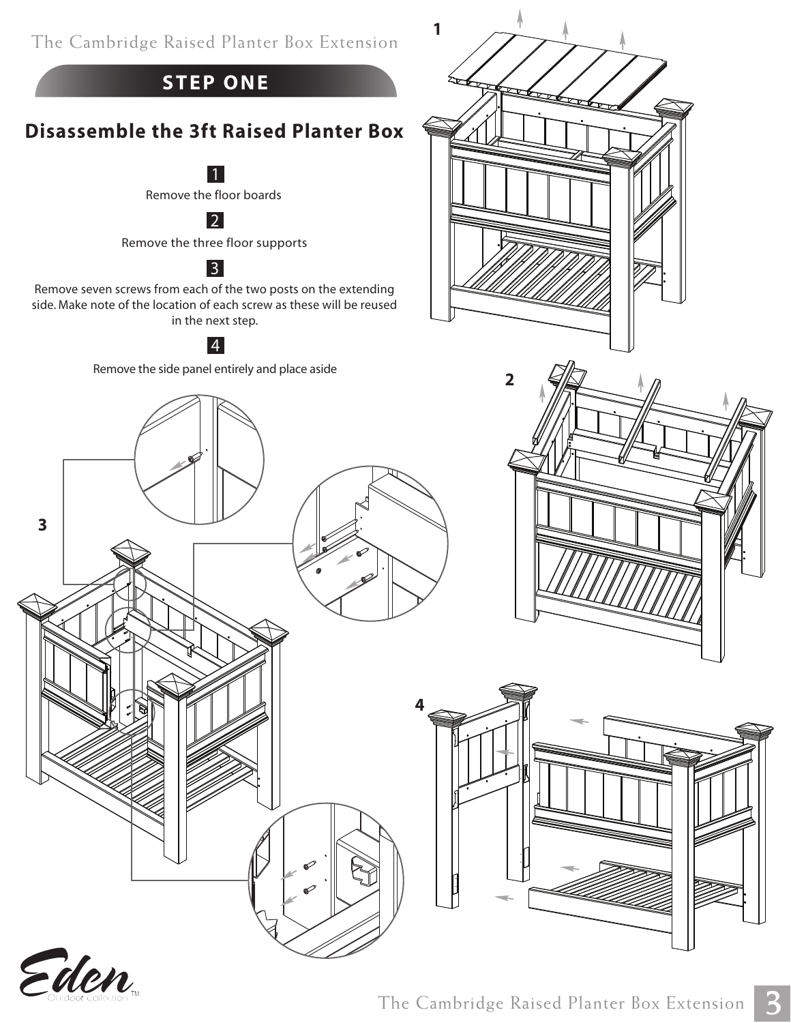

**1**

## **STEP ONE**

## **Disassemble the 3ft Raised Planter Box**

Remove the floor boards 1

2

Remove the three floor supports

### 3

Remove seven screws from each of the two posts on the extending side. Make note of the location of each screw as these will be reused in the next step.

#### 4

Remove the side panel entirely and place aside



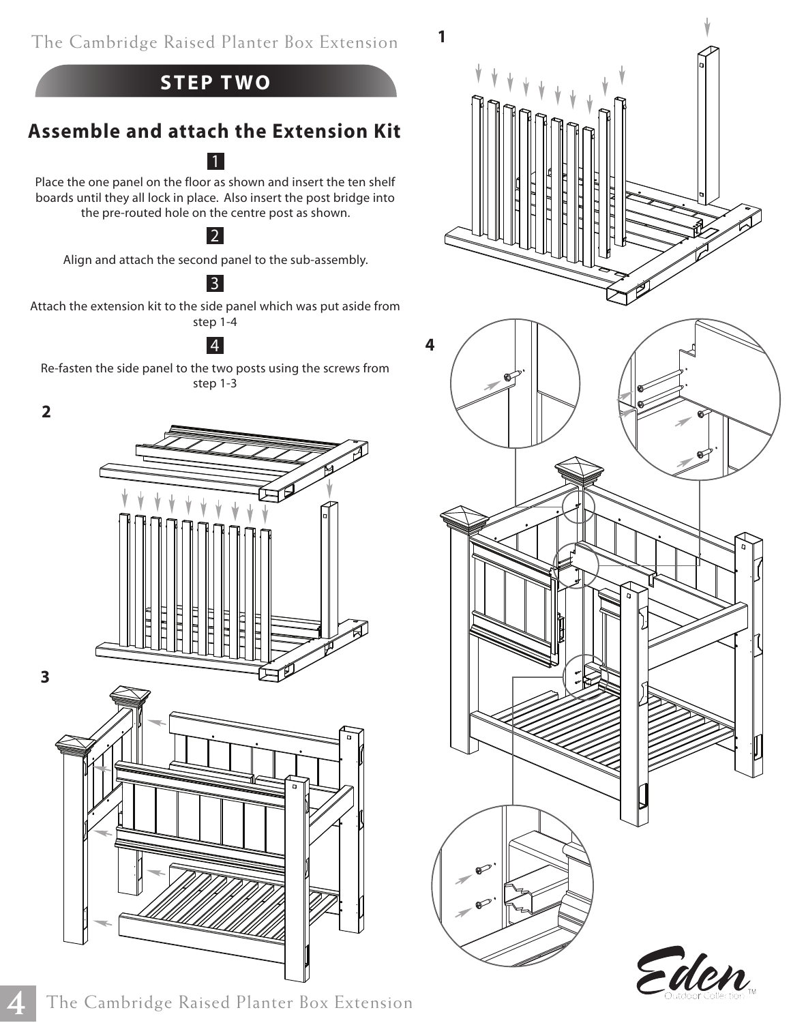



## **Assemble and attach the Extension Kit** 1

Place the one panel on the floor as shown and insert the ten shelf boards until they all lock in place. Also insert the post bridge into the pre-routed hole on the centre post as shown.

#### 2

Align and attach the second panel to the sub-assembly.

#### 3

Attach the extension kit to the side panel which was put aside from step 1-4

Re-fasten the side panel to the two posts using the screws from step 1-3

#### **2**

**3**

**4**





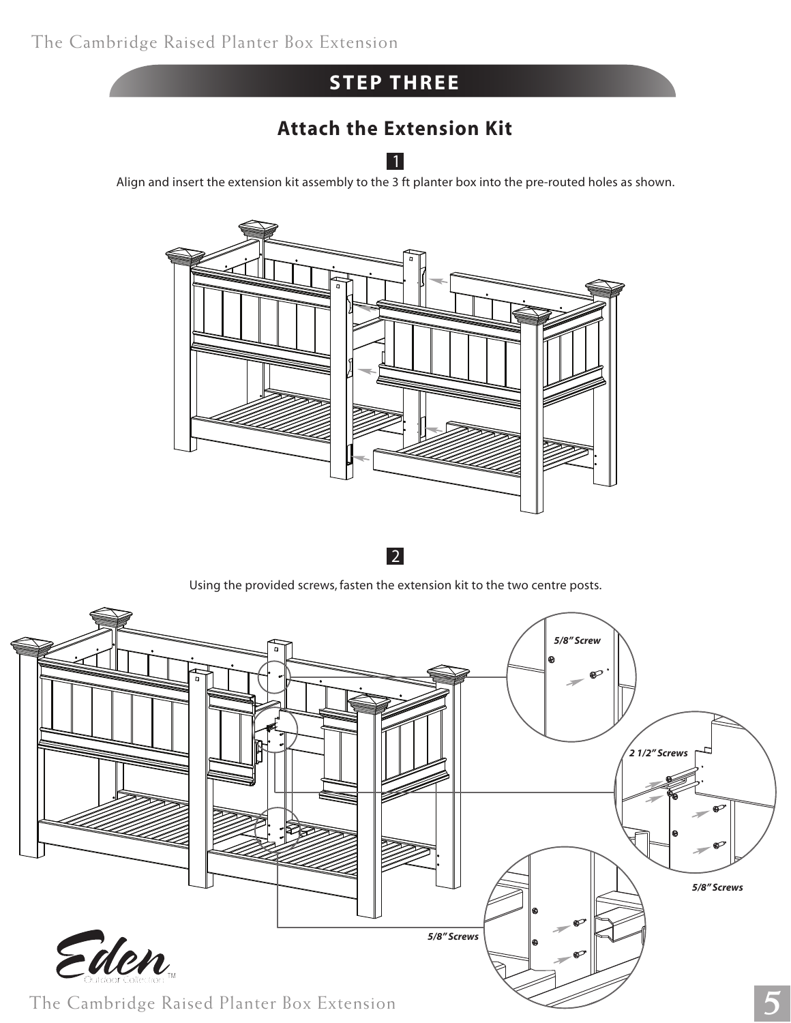## **STEP THREE**

## **Attach the Extension Kit**

Align and insert the extension kit assembly to the 3 ft planter box into the pre-routed holes as shown. 1



2

Using the provided screws, fasten the extension kit to the two centre posts.